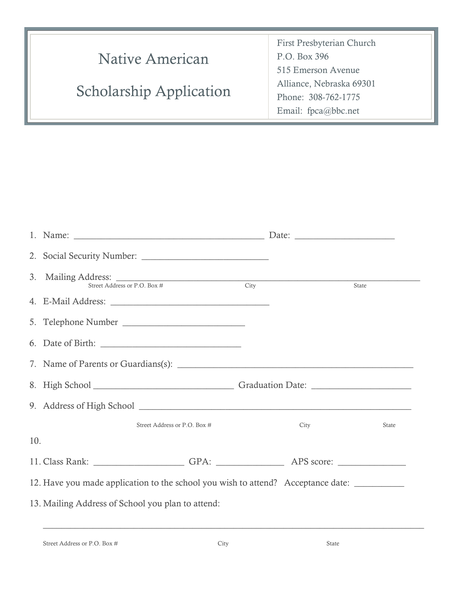| Native American                | First Presbyterian Church<br>P.O. Box 396      |  |
|--------------------------------|------------------------------------------------|--|
|                                | 515 Emerson Avenue<br>Alliance, Nebraska 69301 |  |
| <b>Scholarship Application</b> | Phone: 308-762-1775<br>Email: fpca@bbc.net     |  |

|                                                                                              | 3. Mailing Address: Street Address or P.O. Box # City                                                |                              |  |      | State |  |  |
|----------------------------------------------------------------------------------------------|------------------------------------------------------------------------------------------------------|------------------------------|--|------|-------|--|--|
|                                                                                              |                                                                                                      |                              |  |      |       |  |  |
|                                                                                              | 5. Telephone Number                                                                                  |                              |  |      |       |  |  |
|                                                                                              |                                                                                                      |                              |  |      |       |  |  |
|                                                                                              |                                                                                                      |                              |  |      |       |  |  |
|                                                                                              |                                                                                                      |                              |  |      |       |  |  |
|                                                                                              |                                                                                                      |                              |  |      |       |  |  |
|                                                                                              |                                                                                                      | Street Address or P.O. Box # |  | City | State |  |  |
| 10.                                                                                          |                                                                                                      |                              |  |      |       |  |  |
|                                                                                              | 11. Class Rank: _______________________GPA: ________________________APS score: _____________________ |                              |  |      |       |  |  |
| 12. Have you made application to the school you wish to attend? Acceptance date: ___________ |                                                                                                      |                              |  |      |       |  |  |
| 13. Mailing Address of School you plan to attend:                                            |                                                                                                      |                              |  |      |       |  |  |
|                                                                                              |                                                                                                      |                              |  |      |       |  |  |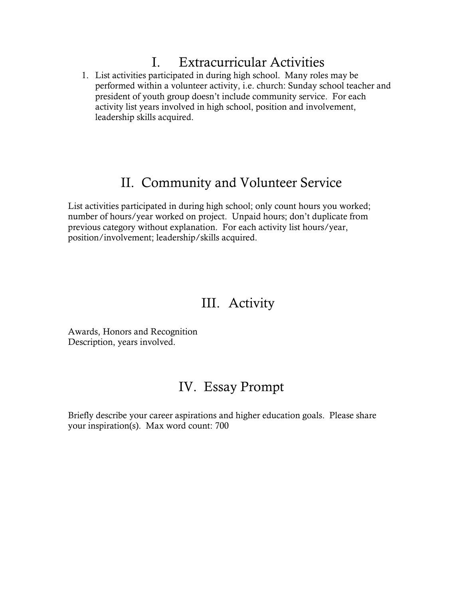## I. Extracurricular Activities

1. List activities participated in during high school. Many roles may be performed within a volunteer activity, i.e. church: Sunday school teacher and president of youth group doesn't include community service. For each activity list years involved in high school, position and involvement, leadership skills acquired.

## II. Community and Volunteer Service

List activities participated in during high school; only count hours you worked; number of hours/year worked on project. Unpaid hours; don't duplicate from previous category without explanation. For each activity list hours/year, position/involvement; leadership/skills acquired.

## III. Activity

Awards, Honors and Recognition Description, years involved.

## IV. Essay Prompt

Briefly describe your career aspirations and higher education goals. Please share your inspiration(s). Max word count: 700